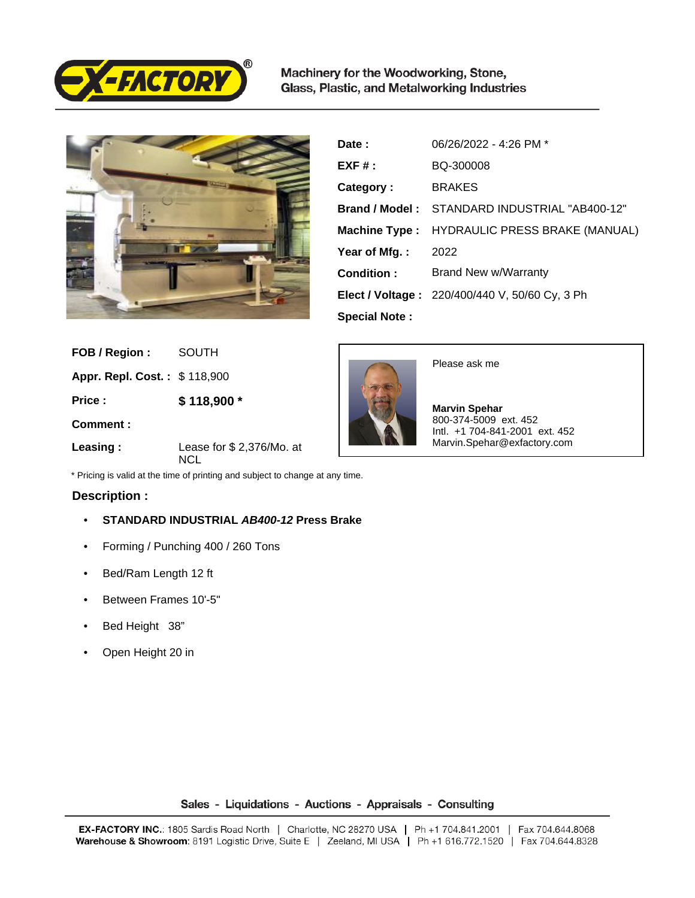

Machinery for the Woodworking, Stone, Glass, Plastic, and Metalworking Industries



| Date:                | 06/26/2022 - 4:26 PM *                                |
|----------------------|-------------------------------------------------------|
| $EXF#$ :             | BQ-300008                                             |
| Category:            | <b>BRAKES</b>                                         |
| Brand / Model:       | STANDARD INDUSTRIAL "AB400-12"                        |
| Machine Type :       | <b>HYDRAULIC PRESS BRAKE (MANUAL)</b>                 |
| Year of Mfg.:        | 2022                                                  |
| Condition:           | Brand New w/Warranty                                  |
|                      | <b>Elect / Voltage: 220/400/440 V, 50/60 Cy, 3 Ph</b> |
| <b>Special Note:</b> |                                                       |

| FOB / Region:                | <b>SOUTH</b>                    |
|------------------------------|---------------------------------|
| Appr. Repl. Cost.: \$118,900 |                                 |
| Price:                       | \$118,900 *                     |
| Comment:                     |                                 |
| Leasing:                     | Lease for \$2,376/Mo. at<br>NCL |

SOUTH



## **Description :**

- **STANDARD INDUSTRIAL AB400-12 Press Brake**
- Forming / Punching 400 / 260 Tons
- Bed/Ram Length 12 ft
- Between Frames 10'-5"
- Bed Height 38"
- Open Height 20 in



Please ask me

 **Marvin Spehar** 800-374-5009 ext. 452 Intl. +1 704-841-2001 ext. 452 Marvin.Spehar@exfactory.com

## Sales - Liquidations - Auctions - Appraisals - Consulting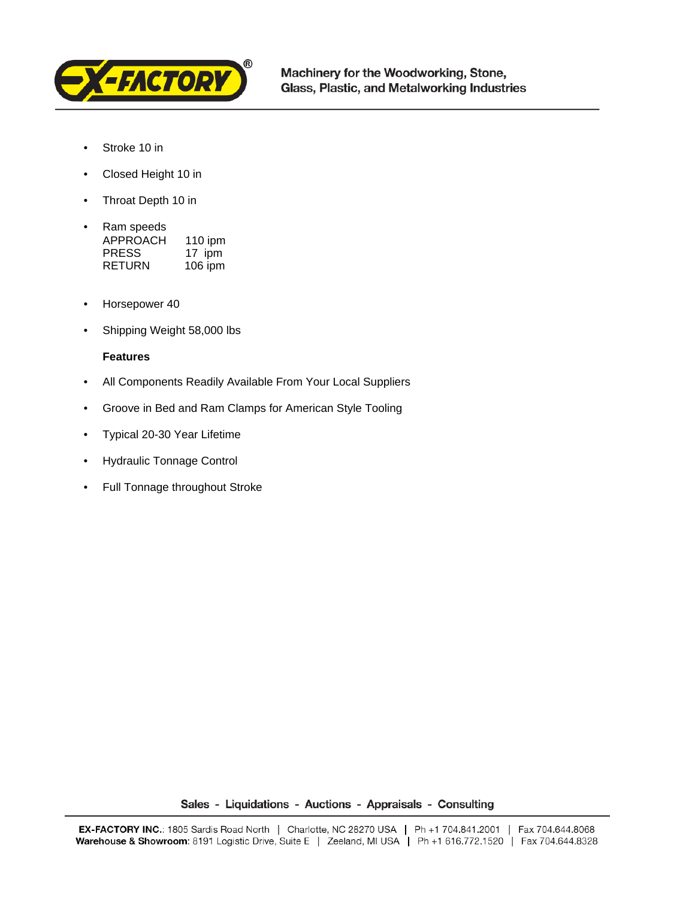

- Stroke 10 in
- Closed Height 10 in
- Throat Depth 10 in
- Ram speeds APPROACH 110 ipm PRESS 17 ipm RETURN 106 ipm
- Horsepower 40
- Shipping Weight 58,000 lbs

## **Features**

- All Components Readily Available From Your Local Suppliers
- Groove in Bed and Ram Clamps for American Style Tooling
- Typical 20-30 Year Lifetime
- Hydraulic Tonnage Control
- Full Tonnage throughout Stroke

Sales - Liquidations - Auctions - Appraisals - Consulting